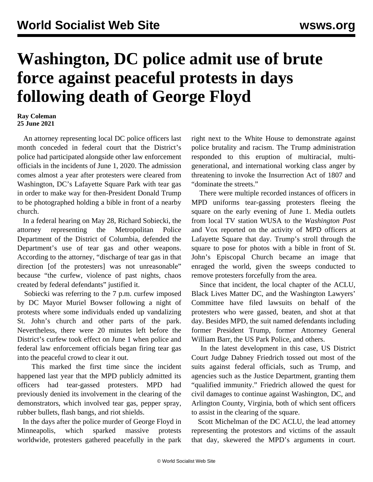## **Washington, DC police admit use of brute force against peaceful protests in days following death of George Floyd**

**Ray Coleman 25 June 2021**

 An attorney representing local DC police officers last month conceded in federal court that the District's police had participated alongside other law enforcement officials in the incidents of June 1, 2020. The admission comes [almost a year after protesters](/en/articles/2021/05/25/pers-m25.html) were cleared from Washington, DC's Lafayette Square Park with tear gas in order to make way for then-President Donald Trump to be photographed holding a bible in front of a nearby church.

 In a federal hearing on May 28, Richard Sobiecki, the attorney representing the Metropolitan Police Department of the District of Columbia, defended the Department's use of tear gas and other weapons. According to the attorney, "discharge of tear gas in that direction [of the protesters] was not unreasonable" because "the curfew, violence of past nights, chaos created by federal defendants" justified it.

 Sobiecki was referring to the 7 p.m. curfew imposed by DC Mayor Muriel Bowser following a night of protests where some individuals ended up vandalizing St. John's church and other parts of the park. Nevertheless, there were 20 minutes left before the District's curfew took effect on June 1 when police and federal law enforcement officials began firing tear gas into the peaceful crowd to clear it out.

 This marked the first time since the incident happened last year that the MPD publicly admitted its officers had tear-gassed protesters. MPD had previously denied its involvement in the clearing of the demonstrators, which involved tear gas, pepper spray, rubber bullets, flash bangs, and riot shields.

 In the days after the police murder of George Floyd in Minneapolis, which sparked massive protests worldwide, protesters gathered peacefully in the park right next to the White House to demonstrate against police brutality and racism. The Trump administration [responded](/en/articles/2020/06/02/pers-j02.html) to this eruption of [multiracial, multi](/en/articles/2020/05/30/pers-m30.html)[generational,](/en/articles/2020/05/30/pers-m30.html) and [international](/en/articles/2020/06/06/pers-j06.html) working class anger by threatening to invoke the Insurrection Act of 1807 and "dominate the streets."

 There were multiple recorded instances of officers in MPD uniforms tear-gassing protesters fleeing the square on the early evening of June 1. Media outlets from local TV station WUSA to the *Washington Post* and Vox reported on the activity of MPD officers at Lafayette Square that day. Trump's stroll through the square to pose for photos with a bible in front of St. John's Episcopal Church became an image that enraged the world, given the sweeps conducted to remove protesters forcefully from the area.

 Since that incident, the local chapter of the ACLU, Black Lives Matter DC, and the Washington Lawyers' Committee [have filed lawsuits](/en/articles/2020/07/16/wash-j16.html) on behalf of the protesters who were gassed, beaten, and shot at that day. Besides MPD, the suit named defendants including former President Trump, former Attorney General William Barr, the US Park Police, and others.

 In the latest development in this case, US District Court Judge Dabney Friedrich [tossed out](/en/articles/2021/06/23/pers-j23.html) most of the suits against federal officials, such as Trump, and agencies such as the Justice Department, granting them "qualified immunity." Friedrich allowed the quest for civil damages to continue against Washington, DC, and Arlington County, Virginia, both of which sent officers to assist in the clearing of the square.

 Scott Michelman of the DC ACLU, the lead attorney representing the protestors and victims of the assault that day, skewered the MPD's arguments in court.